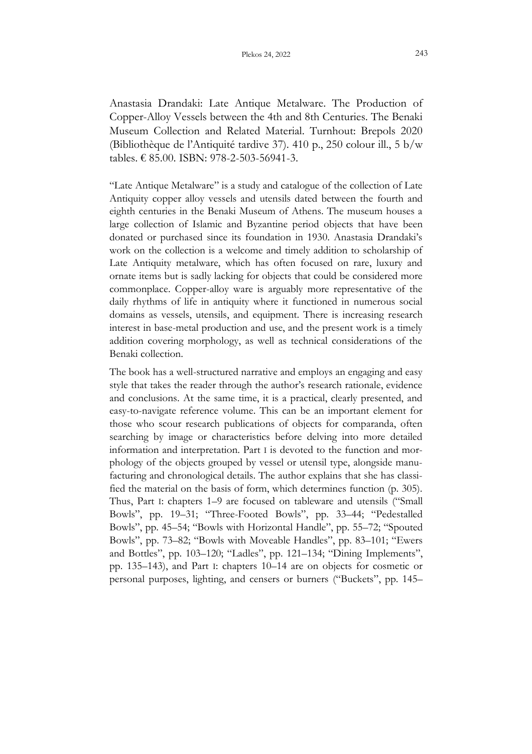Anastasia Drandaki: Late Antique Metalware. The Production of Copper-Alloy Vessels between the 4th and 8th Centuries. The Benaki Museum Collection and Related Material. Turnhout: Brepols 2020 (Bibliothèque de l'Antiquité tardive 37). 410 p., 250 colour ill., 5 b/w tables. € 85.00. ISBN: 978-2-503-56941-3.

"Late Antique Metalware" is a study and catalogue of the collection of Late Antiquity copper alloy vessels and utensils dated between the fourth and eighth centuries in the Benaki Museum of Athens. The museum houses a large collection of Islamic and Byzantine period objects that have been donated or purchased since its foundation in 1930. Anastasia Drandaki's work on the collection is a welcome and timely addition to scholarship of Late Antiquity metalware, which has often focused on rare, luxury and ornate items but is sadly lacking for objects that could be considered more commonplace. Copper-alloy ware is arguably more representative of the daily rhythms of life in antiquity where it functioned in numerous social domains as vessels, utensils, and equipment. There is increasing research interest in base-metal production and use, and the present work is a timely addition covering morphology, as well as technical considerations of the Benaki collection.

The book has a well-structured narrative and employs an engaging and easy style that takes the reader through the author's research rationale, evidence and conclusions. At the same time, it is a practical, clearly presented, and easy-to-navigate reference volume. This can be an important element for those who scour research publications of objects for comparanda, often searching by image or characteristics before delving into more detailed information and interpretation. Part I is devoted to the function and morphology of the objects grouped by vessel or utensil type, alongside manufacturing and chronological details. The author explains that she has classified the material on the basis of form, which determines function (p. 305). Thus, Part I: chapters 1–9 are focused on tableware and utensils ("Small Bowls", pp. 19–31; "Three-Footed Bowls", pp. 33–44; "Pedestalled Bowls", pp. 45–54; "Bowls with Horizontal Handle", pp. 55–72; "Spouted Bowls", pp. 73–82; "Bowls with Moveable Handles", pp. 83–101; "Ewers and Bottles", pp. 103–120; "Ladles", pp. 121–134; "Dining Implements", pp. 135–143), and Part I: chapters 10–14 are on objects for cosmetic or personal purposes, lighting, and censers or burners ("Buckets", pp. 145–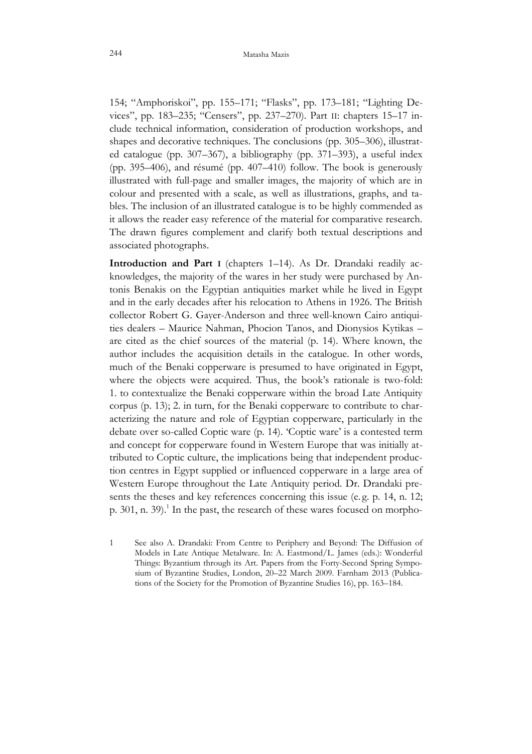154; "Amphoriskoi", pp. 155–171; "Flasks", pp. 173–181; "Lighting Devices", pp. 183–235; "Censers", pp. 237–270). Part II: chapters 15–17 include technical information, consideration of production workshops, and shapes and decorative techniques. The conclusions (pp. 305–306), illustrated catalogue (pp. 307–367), a bibliography (pp. 371–393), a useful index (pp. 395–406), and résumé (pp. 407–410) follow. The book is generously illustrated with full-page and smaller images, the majority of which are in colour and presented with a scale, as well as illustrations, graphs, and tables. The inclusion of an illustrated catalogue is to be highly commended as it allows the reader easy reference of the material for comparative research. The drawn figures complement and clarify both textual descriptions and associated photographs.

**Introduction and Part I** (chapters 1–14). As Dr. Drandaki readily acknowledges, the majority of the wares in her study were purchased by Antonis Benakis on the Egyptian antiquities market while he lived in Egypt and in the early decades after his relocation to Athens in 1926. The British collector Robert G. Gayer-Anderson and three well-known Cairo antiquities dealers – Maurice Nahman, Phocion Tanos, and Dionysios Kytikas – are cited as the chief sources of the material (p. 14). Where known, the author includes the acquisition details in the catalogue. In other words, much of the Benaki copperware is presumed to have originated in Egypt, where the objects were acquired. Thus, the book's rationale is two-fold: 1. to contextualize the Benaki copperware within the broad Late Antiquity corpus (p. 13); 2. in turn, for the Benaki copperware to contribute to characterizing the nature and role of Egyptian copperware, particularly in the debate over so-called Coptic ware (p. 14). 'Coptic ware' is a contested term and concept for copperware found in Western Europe that was initially attributed to Coptic culture, the implications being that independent production centres in Egypt supplied or influenced copperware in a large area of Western Europe throughout the Late Antiquity period. Dr. Drandaki presents the theses and key references concerning this issue (e. g. p. 14, n. 12; p. 301, n. 39).<sup>1</sup> In the past, the research of these wares focused on morpho-

1 See also A. Drandaki: From Centre to Periphery and Beyond: The Diffusion of Models in Late Antique Metalware. In: A. Eastmond/L. James (eds.): Wonderful Things: Byzantium through its Art. Papers from the Forty-Second Spring Symposium of Byzantine Studies, London, 20–22 March 2009. Farnham 2013 (Publications of the Society for the Promotion of Byzantine Studies 16), pp. 163–184.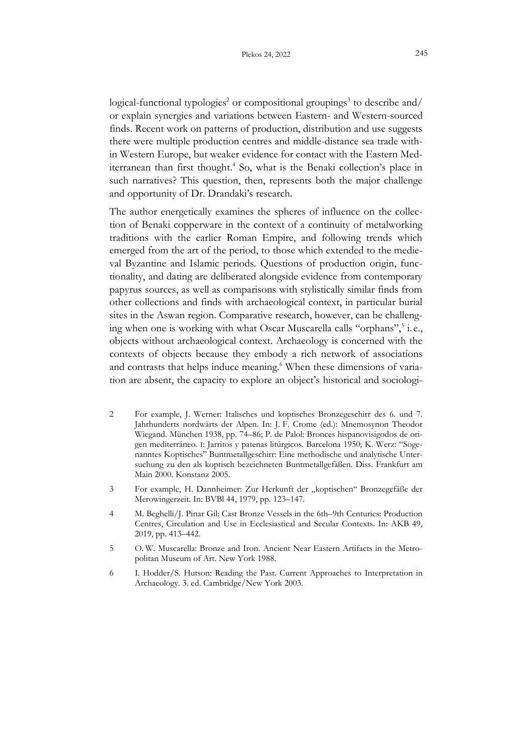$logical$ -functional typologies<sup>2</sup> or compositional groupings<sup>3</sup> to describe and/ or explain synergies and variations between Eastern- and Western-sourced finds. Recent work on patterns of production, distribution and use suggests there were multiple production centres and middle-distance sea trade within Western Europe, but weaker evidence for contact with the Eastern Mediterranean than first thought.<sup>4</sup> So, what is the Benaki collection's place in such narratives? This question, then, represents both the major challenge and opportunity of Dr. Drandaki's research.

The author energetically examines the spheres of influence on the collection of Benaki copperware in the context of a continuity of metalworking traditions with the earlier Roman Empire, and following trends which emerged from the art of the period, to those which extended to the medieval Byzantine and Islamic periods. Questions of production origin, functionality, and dating are deliberated alongside evidence from contemporary papyrus sources, as well as comparisons with stylistically similar finds from other collections and finds with archaeological context, in particular burial sites in the Aswan region. Comparative research, however, can be challenging when one is working with what Oscar Muscarella calls "orphans", i.e., objects without archaeological context. Archaeology is concerned with the contexts of objects because they embody a rich network of associations and contrasts that helps induce meaning.<sup>6</sup> When these dimensions of variation are absent, the capacity to explore an object's historical and sociologi-

- 2 For example, J. Werner: Italisches und koptisches Bronzegeschirr des 6. und 7. Jahrhunderts nordwärts der Alpen. In: J. F. Crome (ed.): Mnemosynon Theodor Wiegand. München 1938, pp. 74–86; P. de Palol: Bronces hispanovisigodos de origen mediterráneo. I: Jarritos y patenas litúrgicos. Barcelona 1950; K. Werz: "Sogenanntes Koptisches" Buntmetallgeschirr: Eine methodische und analytische Untersuchung zu den als koptisch bezeichneten Buntmetallgefäßen. Diss. Frankfurt am Main 2000. Konstanz 2005.
- 3 For example, H. Dannheimer: Zur Herkunft der "koptischen" Bronzegefäße der Merowingerzeit. In: BVBl 44, 1979, pp. 123–147.
- 4 M. Beghelli/J. Pinar Gil: Cast Bronze Vessels in the 6th–9th Centuries: Production Centres, Circulation and Use in Ecclesiastical and Secular Contexts. In: AKB 49, 2019, pp. 413–442.
- 5 O. W. Muscarella: Bronze and Iron. Ancient Near Eastern Artifacts in the Metropolitan Museum of Art. New York 1988.
- 6 I. Hodder/S. Hutson: Reading the Past. Current Approaches to Interpretation in Archaeology. 3. ed. Cambridge/New York 2003.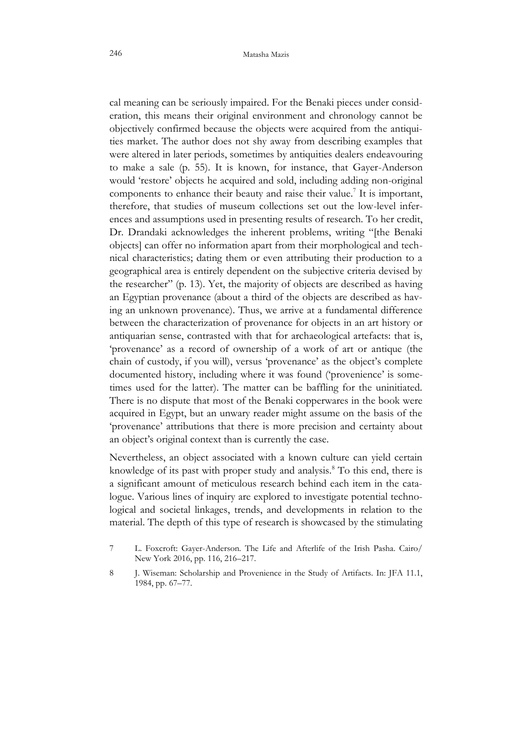cal meaning can be seriously impaired. For the Benaki pieces under consideration, this means their original environment and chronology cannot be objectively confirmed because the objects were acquired from the antiquities market. The author does not shy away from describing examples that were altered in later periods, sometimes by antiquities dealers endeavouring to make a sale (p. 55). It is known, for instance, that Gayer-Anderson would 'restore' objects he acquired and sold, including adding non-original components to enhance their beauty and raise their value.<sup>7</sup> It is important, therefore, that studies of museum collections set out the low-level inferences and assumptions used in presenting results of research. To her credit, Dr. Drandaki acknowledges the inherent problems, writing "[the Benaki objects] can offer no information apart from their morphological and technical characteristics; dating them or even attributing their production to a geographical area is entirely dependent on the subjective criteria devised by the researcher" (p. 13). Yet, the majority of objects are described as having an Egyptian provenance (about a third of the objects are described as having an unknown provenance). Thus, we arrive at a fundamental difference between the characterization of provenance for objects in an art history or antiquarian sense, contrasted with that for archaeological artefacts: that is, 'provenance' as a record of ownership of a work of art or antique (the chain of custody, if you will), versus 'provenance' as the object's complete documented history, including where it was found ('provenience' is sometimes used for the latter). The matter can be baffling for the uninitiated. There is no dispute that most of the Benaki copperwares in the book were acquired in Egypt, but an unwary reader might assume on the basis of the 'provenance' attributions that there is more precision and certainty about an object's original context than is currently the case.

Nevertheless, an object associated with a known culture can yield certain knowledge of its past with proper study and analysis.<sup>8</sup> To this end, there is a significant amount of meticulous research behind each item in the catalogue. Various lines of inquiry are explored to investigate potential technological and societal linkages, trends, and developments in relation to the material. The depth of this type of research is showcased by the stimulating

- 7 L. Foxcroft: Gayer-Anderson. The Life and Afterlife of the Irish Pasha. Cairo/ New York 2016, pp. 116, 216–217.
- 8 J. Wiseman: Scholarship and Provenience in the Study of Artifacts. In: JFA 11.1, 1984, pp. 67–77.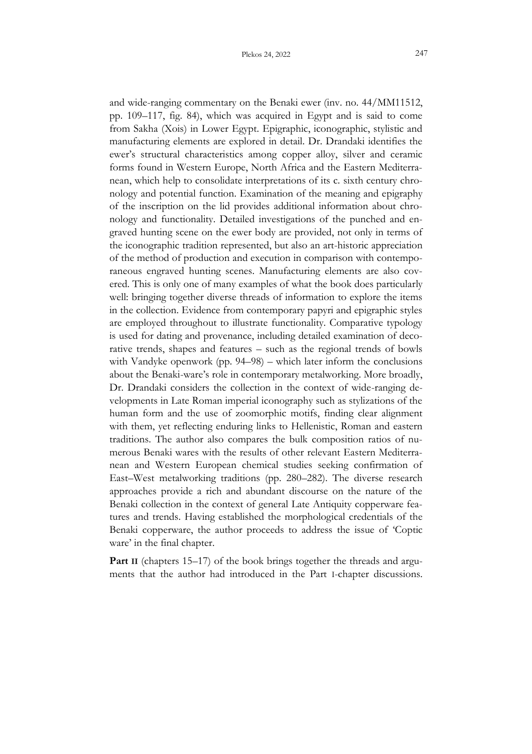and wide-ranging commentary on the Benaki ewer (inv. no. 44/MM11512, pp. 109–117, fig. 84), which was acquired in Egypt and is said to come from Sakha (Xois) in Lower Egypt. Epigraphic, iconographic, stylistic and manufacturing elements are explored in detail. Dr. Drandaki identifies the ewer's structural characteristics among copper alloy, silver and ceramic forms found in Western Europe, North Africa and the Eastern Mediterranean, which help to consolidate interpretations of its c. sixth century chronology and potential function. Examination of the meaning and epigraphy of the inscription on the lid provides additional information about chronology and functionality. Detailed investigations of the punched and engraved hunting scene on the ewer body are provided, not only in terms of the iconographic tradition represented, but also an art-historic appreciation of the method of production and execution in comparison with contemporaneous engraved hunting scenes. Manufacturing elements are also covered. This is only one of many examples of what the book does particularly well: bringing together diverse threads of information to explore the items in the collection. Evidence from contemporary papyri and epigraphic styles are employed throughout to illustrate functionality. Comparative typology is used for dating and provenance, including detailed examination of decorative trends, shapes and features – such as the regional trends of bowls with Vandyke openwork (pp. 94–98) – which later inform the conclusions about the Benaki-ware's role in contemporary metalworking. More broadly, Dr. Drandaki considers the collection in the context of wide-ranging developments in Late Roman imperial iconography such as stylizations of the human form and the use of zoomorphic motifs, finding clear alignment with them, yet reflecting enduring links to Hellenistic, Roman and eastern traditions. The author also compares the bulk composition ratios of numerous Benaki wares with the results of other relevant Eastern Mediterranean and Western European chemical studies seeking confirmation of East–West metalworking traditions (pp. 280–282). The diverse research approaches provide a rich and abundant discourse on the nature of the Benaki collection in the context of general Late Antiquity copperware features and trends. Having established the morphological credentials of the Benaki copperware, the author proceeds to address the issue of 'Coptic ware' in the final chapter.

**Part II** (chapters 15–17) of the book brings together the threads and arguments that the author had introduced in the Part I-chapter discussions.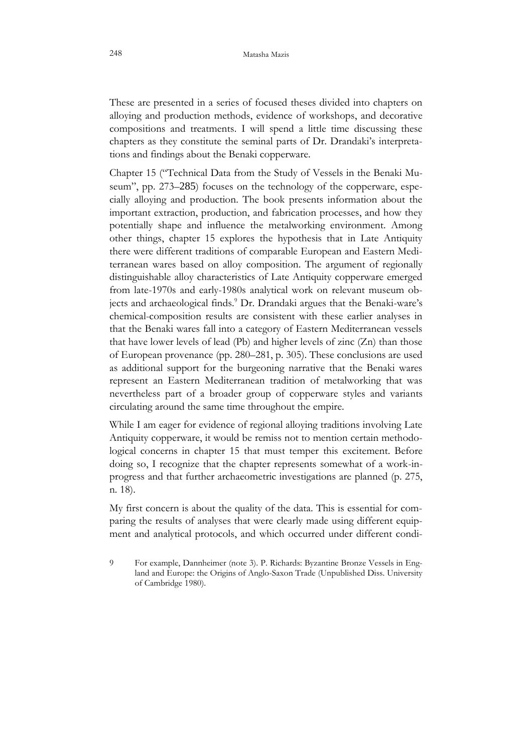These are presented in a series of focused theses divided into chapters on alloying and production methods, evidence of workshops, and decorative compositions and treatments. I will spend a little time discussing these chapters as they constitute the seminal parts of Dr. Drandaki's interpretations and findings about the Benaki copperware.

Chapter 15 ("Technical Data from the Study of Vessels in the Benaki Museum", pp. 273–285) focuses on the technology of the copperware, especially alloying and production. The book presents information about the important extraction, production, and fabrication processes, and how they potentially shape and influence the metalworking environment. Among other things, chapter 15 explores the hypothesis that in Late Antiquity there were different traditions of comparable European and Eastern Mediterranean wares based on alloy composition. The argument of regionally distinguishable alloy characteristics of Late Antiquity copperware emerged from late-1970s and early-1980s analytical work on relevant museum objects and archaeological finds.<sup>9</sup> Dr. Drandaki argues that the Benaki-ware's chemical-composition results are consistent with these earlier analyses in that the Benaki wares fall into a category of Eastern Mediterranean vessels that have lower levels of lead (Pb) and higher levels of zinc (Zn) than those of European provenance (pp. 280–281, p. 305). These conclusions are used as additional support for the burgeoning narrative that the Benaki wares represent an Eastern Mediterranean tradition of metalworking that was nevertheless part of a broader group of copperware styles and variants circulating around the same time throughout the empire.

While I am eager for evidence of regional alloying traditions involving Late Antiquity copperware, it would be remiss not to mention certain methodological concerns in chapter 15 that must temper this excitement. Before doing so, I recognize that the chapter represents somewhat of a work-inprogress and that further archaeometric investigations are planned (p. 275, n. 18).

My first concern is about the quality of the data. This is essential for comparing the results of analyses that were clearly made using different equipment and analytical protocols, and which occurred under different condi-

9 For example, Dannheimer (note 3). P. Richards: Byzantine Bronze Vessels in England and Europe: the Origins of Anglo-Saxon Trade (Unpublished Diss. University of Cambridge 1980).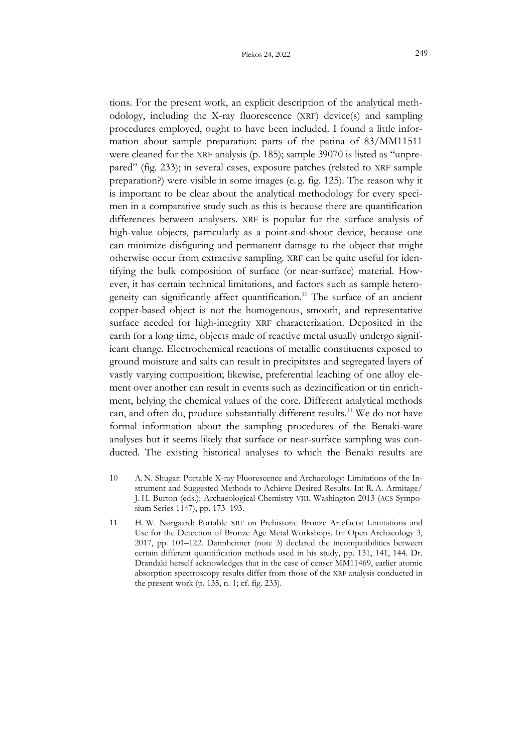tions. For the present work, an explicit description of the analytical methodology, including the X-ray fluorescence (XRF) device(s) and sampling procedures employed, ought to have been included. I found a little information about sample preparation: parts of the patina of 83/MM11511 were cleaned for the XRF analysis (p. 185); sample 39070 is listed as "unprepared" (fig. 233); in several cases, exposure patches (related to XRF sample preparation?) were visible in some images (e. g. fig. 125). The reason why it is important to be clear about the analytical methodology for every specimen in a comparative study such as this is because there are quantification differences between analysers. XRF is popular for the surface analysis of high-value objects, particularly as a point-and-shoot device, because one can minimize disfiguring and permanent damage to the object that might otherwise occur from extractive sampling. XRF can be quite useful for identifying the bulk composition of surface (or near-surface) material. However, it has certain technical limitations, and factors such as sample heterogeneity can significantly affect quantification.<sup>10</sup> The surface of an ancient copper-based object is not the homogenous, smooth, and representative surface needed for high-integrity XRF characterization. Deposited in the earth for a long time, objects made of reactive metal usually undergo significant change. Electrochemical reactions of metallic constituents exposed to ground moisture and salts can result in precipitates and segregated layers of vastly varying composition; likewise, preferential leaching of one alloy element over another can result in events such as dezincification or tin enrichment, belying the chemical values of the core. Different analytical methods can, and often do, produce substantially different results.<sup>11</sup> We do not have formal information about the sampling procedures of the Benaki-ware analyses but it seems likely that surface or near-surface sampling was conducted. The existing historical analyses to which the Benaki results are

- 10 A.N. Shugar: Portable X-ray Fluorescence and Archaeology: Limitations of the Instrument and Suggested Methods to Achieve Desired Results. In: R. A. Armitage/ J. H. Burton (eds.): Archaeological Chemistry VIII. Washington 2013 (ACS Symposium Series 1147), pp. 173–193.
- 11 H. W. Nørgaard: Portable XRF on Prehistoric Bronze Artefacts: Limitations and Use for the Detection of Bronze Age Metal Workshops. In: Open Archaeology 3, 2017, pp. 101–122. Dannheimer (note 3) declared the incompatibilities between certain different quantification methods used in his study, pp. 131, 141, 144. Dr. Drandaki herself acknowledges that in the case of censer MM11469, earlier atomic absorption spectroscopy results differ from those of the XRF analysis conducted in the present work (p. 135, n. 1; cf. fig. 233).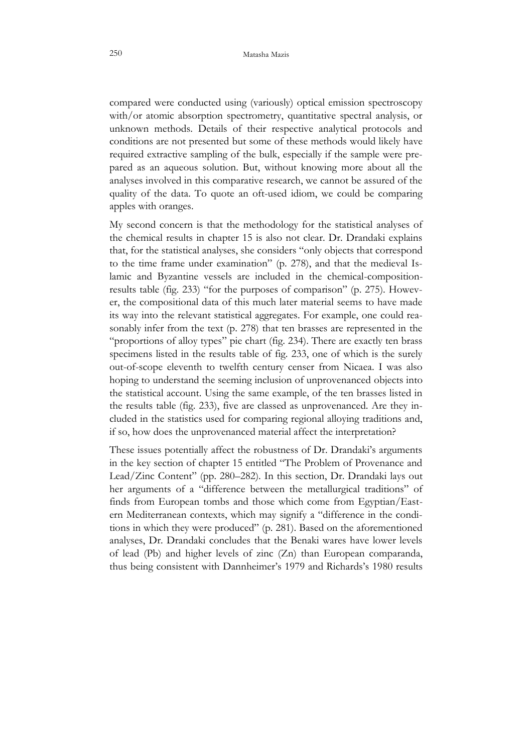compared were conducted using (variously) optical emission spectroscopy with/or atomic absorption spectrometry, quantitative spectral analysis, or unknown methods. Details of their respective analytical protocols and conditions are not presented but some of these methods would likely have required extractive sampling of the bulk, especially if the sample were prepared as an aqueous solution. But, without knowing more about all the analyses involved in this comparative research, we cannot be assured of the quality of the data. To quote an oft-used idiom, we could be comparing apples with oranges.

My second concern is that the methodology for the statistical analyses of the chemical results in chapter 15 is also not clear. Dr. Drandaki explains that, for the statistical analyses, she considers "only objects that correspond to the time frame under examination" (p. 278), and that the medieval Islamic and Byzantine vessels are included in the chemical-compositionresults table (fig. 233) "for the purposes of comparison" (p. 275). However, the compositional data of this much later material seems to have made its way into the relevant statistical aggregates. For example, one could reasonably infer from the text (p. 278) that ten brasses are represented in the "proportions of alloy types" pie chart (fig. 234). There are exactly ten brass specimens listed in the results table of fig. 233, one of which is the surely out-of-scope eleventh to twelfth century censer from Nicaea. I was also hoping to understand the seeming inclusion of unprovenanced objects into the statistical account. Using the same example, of the ten brasses listed in the results table (fig. 233), five are classed as unprovenanced. Are they included in the statistics used for comparing regional alloying traditions and, if so, how does the unprovenanced material affect the interpretation?

These issues potentially affect the robustness of Dr. Drandaki's arguments in the key section of chapter 15 entitled "The Problem of Provenance and Lead/Zinc Content" (pp. 280–282). In this section, Dr. Drandaki lays out her arguments of a "difference between the metallurgical traditions" of finds from European tombs and those which come from Egyptian/Eastern Mediterranean contexts, which may signify a "difference in the conditions in which they were produced" (p. 281). Based on the aforementioned analyses, Dr. Drandaki concludes that the Benaki wares have lower levels of lead (Pb) and higher levels of zinc (Zn) than European comparanda, thus being consistent with Dannheimer's 1979 and Richards's 1980 results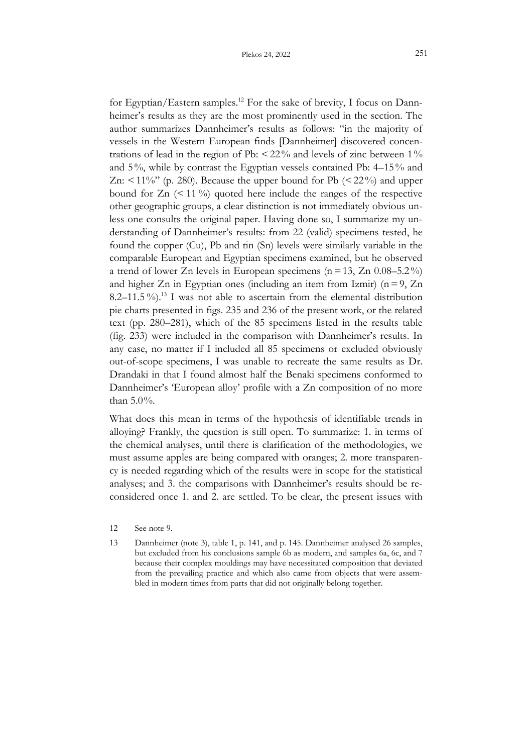for Egyptian/Eastern samples.<sup>12</sup> For the sake of brevity, I focus on Dannheimer's results as they are the most prominently used in the section. The author summarizes Dannheimer's results as follows: "in the majority of vessels in the Western European finds [Dannheimer] discovered concentrations of lead in the region of Pb:  $\leq$  22% and levels of zinc between 1% and 5%, while by contrast the Egyptian vessels contained Pb: 4–15% and Zn:  $\leq$  11%" (p. 280). Because the upper bound for Pb ( $\leq$  22%) and upper bound for  $Zn$  (< 11 %) quoted here include the ranges of the respective other geographic groups, a clear distinction is not immediately obvious unless one consults the original paper. Having done so, I summarize my understanding of Dannheimer's results: from 22 (valid) specimens tested, he found the copper (Cu), Pb and tin (Sn) levels were similarly variable in the comparable European and Egyptian specimens examined, but he observed a trend of lower Zn levels in European specimens ( $n=13$ , Zn 0.08–5.2%) and higher Zn in Egyptian ones (including an item from Izmir) ( $n=9$ , Zn 8.2–11.5%).<sup>13</sup> I was not able to ascertain from the elemental distribution pie charts presented in figs. 235 and 236 of the present work, or the related text (pp. 280–281), which of the 85 specimens listed in the results table (fig. 233) were included in the comparison with Dannheimer's results. In any case, no matter if I included all 85 specimens or excluded obviously out-of-scope specimens, I was unable to recreate the same results as Dr. Drandaki in that I found almost half the Benaki specimens conformed to Dannheimer's 'European alloy' profile with a Zn composition of no more than 5.0%.

What does this mean in terms of the hypothesis of identifiable trends in alloying? Frankly, the question is still open. To summarize: 1. in terms of the chemical analyses, until there is clarification of the methodologies, we must assume apples are being compared with oranges; 2. more transparency is needed regarding which of the results were in scope for the statistical analyses; and 3. the comparisons with Dannheimer's results should be reconsidered once 1. and 2. are settled. To be clear, the present issues with

- 12 See note 9.
- 13 Dannheimer (note 3), table 1, p. 141, and p. 145. Dannheimer analysed 26 samples, but excluded from his conclusions sample 6b as modern, and samples 6a, 6c, and 7 because their complex mouldings may have necessitated composition that deviated from the prevailing practice and which also came from objects that were assembled in modern times from parts that did not originally belong together.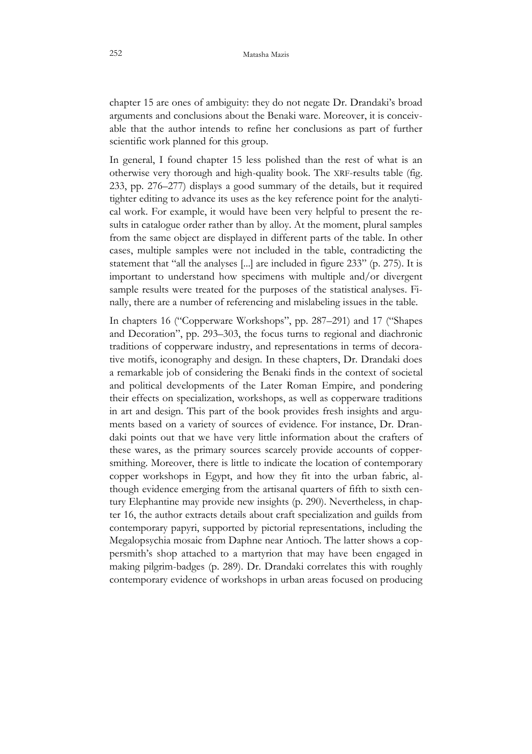chapter 15 are ones of ambiguity: they do not negate Dr. Drandaki's broad arguments and conclusions about the Benaki ware. Moreover, it is conceivable that the author intends to refine her conclusions as part of further scientific work planned for this group.

In general, I found chapter 15 less polished than the rest of what is an otherwise very thorough and high-quality book. The XRF-results table (fig. 233, pp. 276–277) displays a good summary of the details, but it required tighter editing to advance its uses as the key reference point for the analytical work. For example, it would have been very helpful to present the results in catalogue order rather than by alloy. At the moment, plural samples from the same object are displayed in different parts of the table. In other cases, multiple samples were not included in the table, contradicting the statement that "all the analyses [...] are included in figure 233" (p. 275). It is important to understand how specimens with multiple and/or divergent sample results were treated for the purposes of the statistical analyses. Finally, there are a number of referencing and mislabeling issues in the table.

In chapters 16 ("Copperware Workshops", pp. 287–291) and 17 ("Shapes and Decoration", pp. 293–303, the focus turns to regional and diachronic traditions of copperware industry, and representations in terms of decorative motifs, iconography and design. In these chapters, Dr. Drandaki does a remarkable job of considering the Benaki finds in the context of societal and political developments of the Later Roman Empire, and pondering their effects on specialization, workshops, as well as copperware traditions in art and design. This part of the book provides fresh insights and arguments based on a variety of sources of evidence. For instance, Dr. Drandaki points out that we have very little information about the crafters of these wares, as the primary sources scarcely provide accounts of coppersmithing. Moreover, there is little to indicate the location of contemporary copper workshops in Egypt, and how they fit into the urban fabric, although evidence emerging from the artisanal quarters of fifth to sixth century Elephantine may provide new insights (p. 290). Nevertheless, in chapter 16, the author extracts details about craft specialization and guilds from contemporary papyri, supported by pictorial representations, including the Megalopsychia mosaic from Daphne near Antioch. The latter shows a coppersmith's shop attached to a martyrion that may have been engaged in making pilgrim-badges (p. 289). Dr. Drandaki correlates this with roughly contemporary evidence of workshops in urban areas focused on producing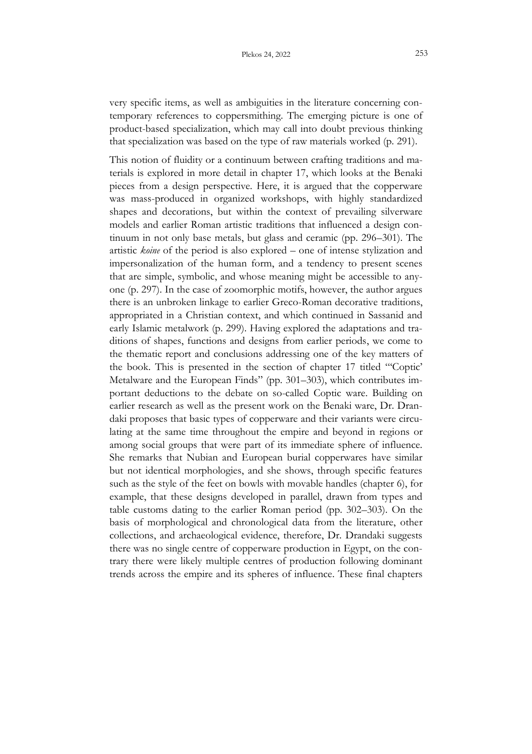that specialization was based on the type of raw materials worked (p. 291).

This notion of fluidity or a continuum between crafting traditions and materials is explored in more detail in chapter 17, which looks at the Benaki pieces from a design perspective. Here, it is argued that the copperware was mass-produced in organized workshops, with highly standardized shapes and decorations, but within the context of prevailing silverware models and earlier Roman artistic traditions that influenced a design continuum in not only base metals, but glass and ceramic (pp. 296–301). The artistic *koine* of the period is also explored – one of intense stylization and impersonalization of the human form, and a tendency to present scenes that are simple, symbolic, and whose meaning might be accessible to anyone (p. 297). In the case of zoomorphic motifs, however, the author argues there is an unbroken linkage to earlier Greco-Roman decorative traditions, appropriated in a Christian context, and which continued in Sassanid and early Islamic metalwork (p. 299). Having explored the adaptations and traditions of shapes, functions and designs from earlier periods, we come to the thematic report and conclusions addressing one of the key matters of the book. This is presented in the section of chapter 17 titled "'Coptic' Metalware and the European Finds" (pp. 301–303), which contributes important deductions to the debate on so-called Coptic ware. Building on earlier research as well as the present work on the Benaki ware, Dr. Drandaki proposes that basic types of copperware and their variants were circulating at the same time throughout the empire and beyond in regions or among social groups that were part of its immediate sphere of influence. She remarks that Nubian and European burial copperwares have similar but not identical morphologies, and she shows, through specific features such as the style of the feet on bowls with movable handles (chapter 6), for example, that these designs developed in parallel, drawn from types and table customs dating to the earlier Roman period (pp. 302–303). On the basis of morphological and chronological data from the literature, other collections, and archaeological evidence, therefore, Dr. Drandaki suggests there was no single centre of copperware production in Egypt, on the contrary there were likely multiple centres of production following dominant trends across the empire and its spheres of influence. These final chapters